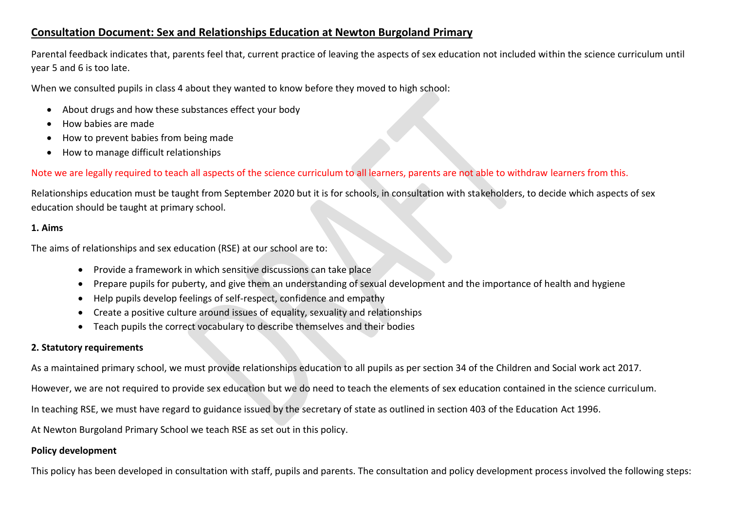# **Consultation Document: Sex and Relationships Education at Newton Burgoland Primary**

Parental feedback indicates that, parents feel that, current practice of leaving the aspects of sex education not included within the science curriculum until year 5 and 6 is too late.

When we consulted pupils in class 4 about they wanted to know before they moved to high school:

- About drugs and how these substances effect your body
- How babies are made
- How to prevent babies from being made
- How to manage difficult relationships

# Note we are legally required to teach all aspects of the science curriculum to all learners, parents are not able to withdraw learners from this.

Relationships education must be taught from September 2020 but it is for schools, in consultation with stakeholders, to decide which aspects of sex education should be taught at primary school.

#### **1. Aims**

The aims of relationships and sex education (RSE) at our school are to:

- Provide a framework in which sensitive discussions can take place
- Prepare pupils for puberty, and give them an understanding of sexual development and the importance of health and hygiene
- Help pupils develop feelings of self-respect, confidence and empathy
- Create a positive culture around issues of equality, sexuality and relationships
- Teach pupils the correct vocabulary to describe themselves and their bodies

### **2. Statutory requirements**

As a maintained primary school, we must provide relationships education to all pupils as per section 34 of the Children and Social work act 2017.

However, we are not required to provide sex education but we do need to teach the elements of sex education contained in the science curriculum.

In teaching RSE, we must have regard to guidance issued by the secretary of state as outlined in section 403 of the Education Act 1996.

At Newton Burgoland Primary School we teach RSE as set out in this policy.

### **Policy development**

This policy has been developed in consultation with staff, pupils and parents. The consultation and policy development process involved the following steps: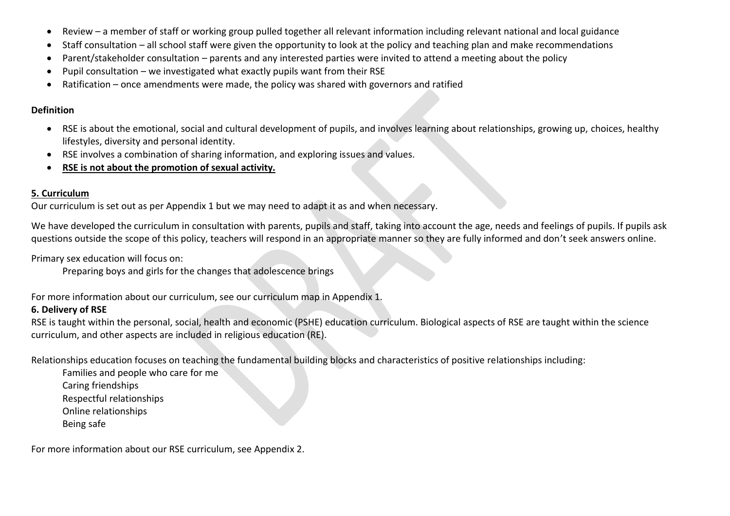- Review a member of staff or working group pulled together all relevant information including relevant national and local guidance
- Staff consultation all school staff were given the opportunity to look at the policy and teaching plan and make recommendations
- Parent/stakeholder consultation parents and any interested parties were invited to attend a meeting about the policy
- Pupil consultation we investigated what exactly pupils want from their RSE
- Ratification once amendments were made, the policy was shared with governors and ratified

#### **Definition**

- RSE is about the emotional, social and cultural development of pupils, and involves learning about relationships, growing up, choices, healthy lifestyles, diversity and personal identity.
- RSE involves a combination of sharing information, and exploring issues and values.
- **RSE is not about the promotion of sexual activity.**

# **5. Curriculum**

Our curriculum is set out as per Appendix 1 but we may need to adapt it as and when necessary.

We have developed the curriculum in consultation with parents, pupils and staff, taking into account the age, needs and feelings of pupils. If pupils ask questions outside the scope of this policy, teachers will respond in an appropriate manner so they are fully informed and don't seek answers online.

Primary sex education will focus on:

Preparing boys and girls for the changes that adolescence brings

For more information about our curriculum, see our curriculum map in Appendix 1.

# **6. Delivery of RSE**

RSE is taught within the personal, social, health and economic (PSHE) education curriculum. Biological aspects of RSE are taught within the science curriculum, and other aspects are included in religious education (RE).

Relationships education focuses on teaching the fundamental building blocks and characteristics of positive relationships including:

- Families and people who care for me
- Caring friendships
- Respectful relationships
- Online relationships
- Being safe

For more information about our RSE curriculum, see Appendix 2.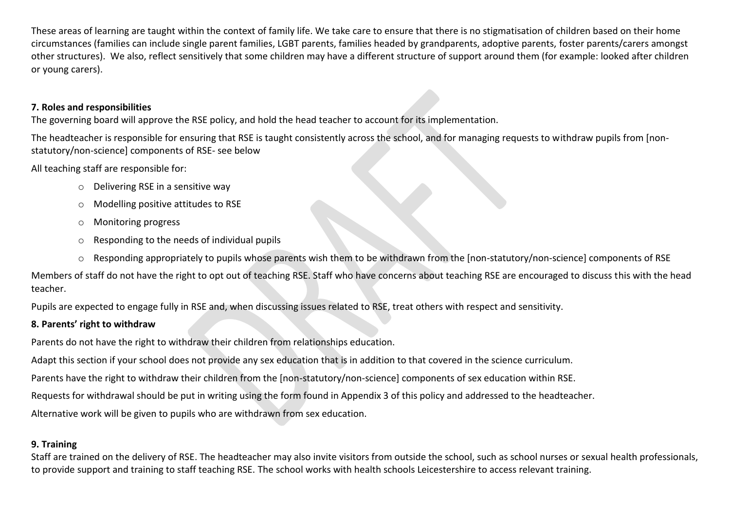These areas of learning are taught within the context of family life. We take care to ensure that there is no stigmatisation of children based on their home circumstances (families can include single parent families, LGBT parents, families headed by grandparents, adoptive parents, foster parents/carers amongst other structures). We also, reflect sensitively that some children may have a different structure of support around them (for example: looked after children or young carers).

#### **7. Roles and responsibilities**

The governing board will approve the RSE policy, and hold the head teacher to account for its implementation.

The headteacher is responsible for ensuring that RSE is taught consistently across the school, and for managing requests to withdraw pupils from [nonstatutory/non-science] components of RSE- see below

All teaching staff are responsible for:

- o Delivering RSE in a sensitive way
- o Modelling positive attitudes to RSE
- o Monitoring progress
- o Responding to the needs of individual pupils
- o Responding appropriately to pupils whose parents wish them to be withdrawn from the [non-statutory/non-science] components of RSE

Members of staff do not have the right to opt out of teaching RSE. Staff who have concerns about teaching RSE are encouraged to discuss this with the head teacher.

Pupils are expected to engage fully in RSE and, when discussing issues related to RSE, treat others with respect and sensitivity.

### **8. Parents' right to withdraw**

Parents do not have the right to withdraw their children from relationships education.

Adapt this section if your school does not provide any sex education that is in addition to that covered in the science curriculum.

Parents have the right to withdraw their children from the [non-statutory/non-science] components of sex education within RSE.

Requests for withdrawal should be put in writing using the form found in Appendix 3 of this policy and addressed to the headteacher.

Alternative work will be given to pupils who are withdrawn from sex education.

### **9. Training**

Staff are trained on the delivery of RSE. The headteacher may also invite visitors from outside the school, such as school nurses or sexual health professionals, to provide support and training to staff teaching RSE. The school works with health schools Leicestershire to access relevant training.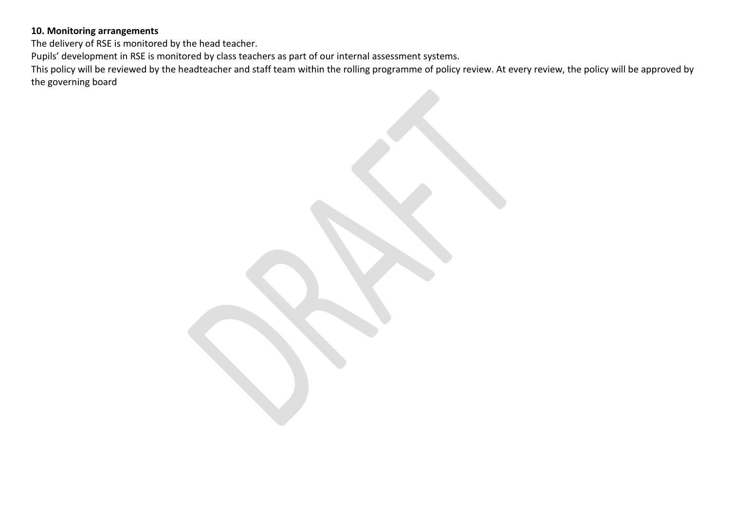### **10. Monitoring arrangements**

The delivery of RSE is monitored by the head teacher.

Pupils' development in RSE is monitored by class teachers as part of our internal assessment systems.

This policy will be reviewed by the headteacher and staff team within the rolling programme of policy review. At every review, the policy will be approved by the governing board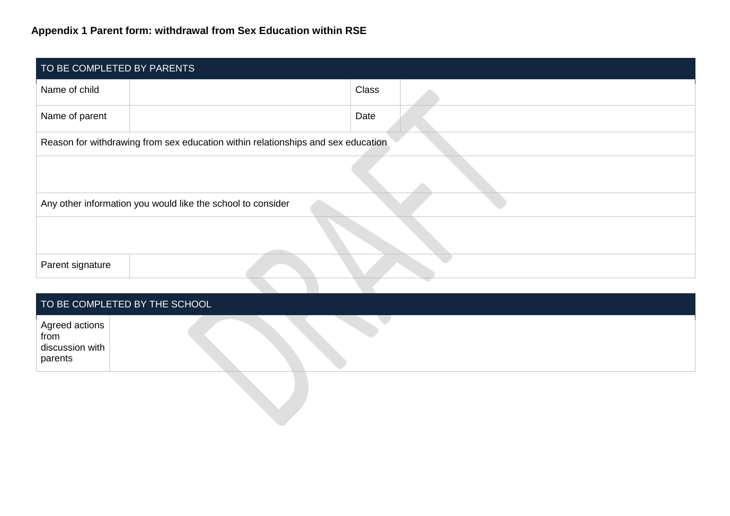# **Appendix 1 Parent form: withdrawal from Sex Education within RSE**

| TO BE COMPLETED BY PARENTS                                  |                                                                                  |              |  |  |  |  |
|-------------------------------------------------------------|----------------------------------------------------------------------------------|--------------|--|--|--|--|
| Name of child                                               |                                                                                  | <b>Class</b> |  |  |  |  |
| Name of parent                                              |                                                                                  | Date         |  |  |  |  |
|                                                             | Reason for withdrawing from sex education within relationships and sex education |              |  |  |  |  |
|                                                             |                                                                                  |              |  |  |  |  |
| Any other information you would like the school to consider |                                                                                  |              |  |  |  |  |
|                                                             |                                                                                  |              |  |  |  |  |
| Parent signature                                            |                                                                                  |              |  |  |  |  |

# TO BE COMPLETED BY THE SCHOOL

| Agreed actions<br>from<br>discussion with<br>parents |  |
|------------------------------------------------------|--|
|                                                      |  |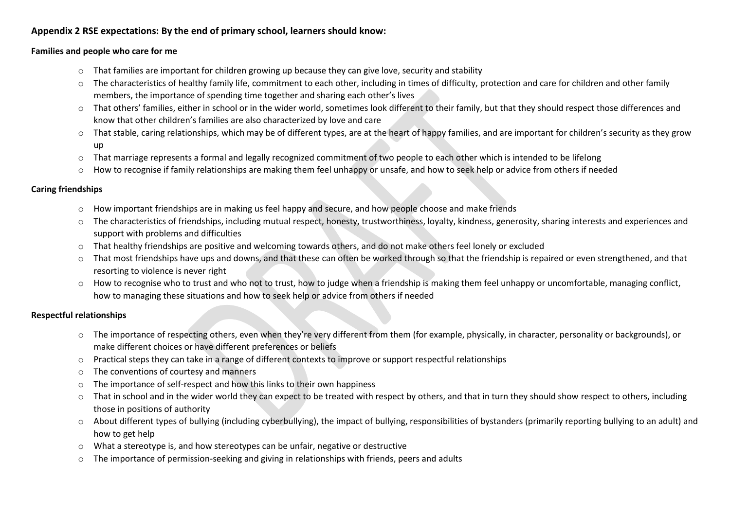#### **Appendix 2 RSE expectations: By the end of primary school, learners should know:**

#### **Families and people who care for me**

- $\circ$  That families are important for children growing up because they can give love, security and stability
- o The characteristics of healthy family life, commitment to each other, including in times of difficulty, protection and care for children and other family members, the importance of spending time together and sharing each other's lives
- o That others' families, either in school or in the wider world, sometimes look different to their family, but that they should respect those differences and know that other children's families are also characterized by love and care
- o That stable, caring relationships, which may be of different types, are at the heart of happy families, and are important for children's security as they grow up
- $\circ$  That marriage represents a formal and legally recognized commitment of two people to each other which is intended to be lifelong
- $\circ$  How to recognise if family relationships are making them feel unhappy or unsafe, and how to seek help or advice from others if needed

#### **Caring friendships**

- o How important friendships are in making us feel happy and secure, and how people choose and make friends
- o The characteristics of friendships, including mutual respect, honesty, trustworthiness, loyalty, kindness, generosity, sharing interests and experiences and support with problems and difficulties
- o That healthy friendships are positive and welcoming towards others, and do not make others feel lonely or excluded
- o That most friendships have ups and downs, and that these can often be worked through so that the friendship is repaired or even strengthened, and that resorting to violence is never right
- $\circ$  How to recognise who to trust and who not to trust, how to judge when a friendship is making them feel unhappy or uncomfortable, managing conflict, how to managing these situations and how to seek help or advice from others if needed

#### **Respectful relationships**

- o The importance of respecting others, even when they're very different from them (for example, physically, in character, personality or backgrounds), or make different choices or have different preferences or beliefs
- o Practical steps they can take in a range of different contexts to improve or support respectful relationships
- o The conventions of courtesy and manners
- The importance of self-respect and how this links to their own happiness
- $\circ$  That in school and in the wider world they can expect to be treated with respect by others, and that in turn they should show respect to others, including those in positions of authority
- o About different types of bullying (including cyberbullying), the impact of bullying, responsibilities of bystanders (primarily reporting bullying to an adult) and how to get help
- $\circ$  What a stereotype is, and how stereotypes can be unfair, negative or destructive
- $\circ$  The importance of permission-seeking and giving in relationships with friends, peers and adults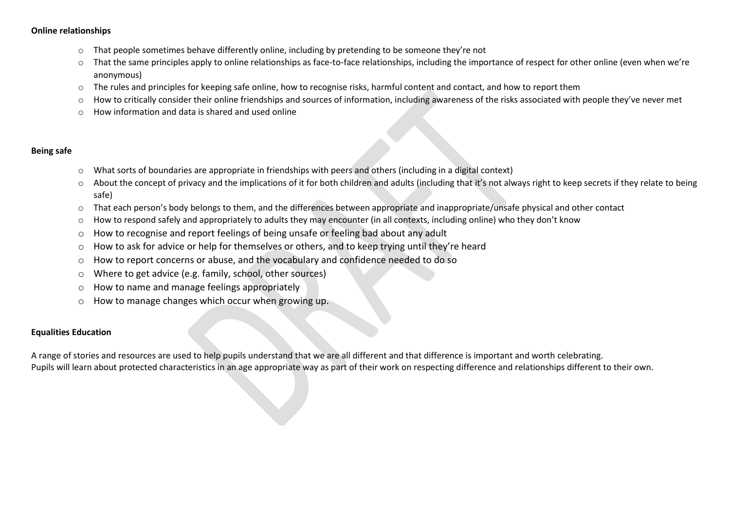#### **Online relationships**

- $\circ$  That people sometimes behave differently online, including by pretending to be someone they're not
- That the same principles apply to online relationships as face-to-face relationships, including the importance of respect for other online (even when we're anonymous)
- o The rules and principles for keeping safe online, how to recognise risks, harmful content and contact, and how to report them
- o How to critically consider their online friendships and sources of information, including awareness of the risks associated with people they've never met
- o How information and data is shared and used online

#### **Being safe**

- $\circ$  What sorts of boundaries are appropriate in friendships with peers and others (including in a digital context)
- About the concept of privacy and the implications of it for both children and adults (including that it's not always right to keep secrets if they relate to being safe)
- o That each person's body belongs to them, and the differences between appropriate and inappropriate/unsafe physical and other contact
- o How to respond safely and appropriately to adults they may encounter (in all contexts, including online) who they don't know
- o How to recognise and report feelings of being unsafe or feeling bad about any adult
- o How to ask for advice or help for themselves or others, and to keep trying until they're heard
- $\circ$  How to report concerns or abuse, and the vocabulary and confidence needed to do so
- o Where to get advice (e.g. family, school, other sources)
- o How to name and manage feelings appropriately
- o How to manage changes which occur when growing up.

#### **Equalities Education**

A range of stories and resources are used to help pupils understand that we are all different and that difference is important and worth celebrating. Pupils will learn about protected characteristics in an age appropriate way as part of their work on respecting difference and relationships different to their own.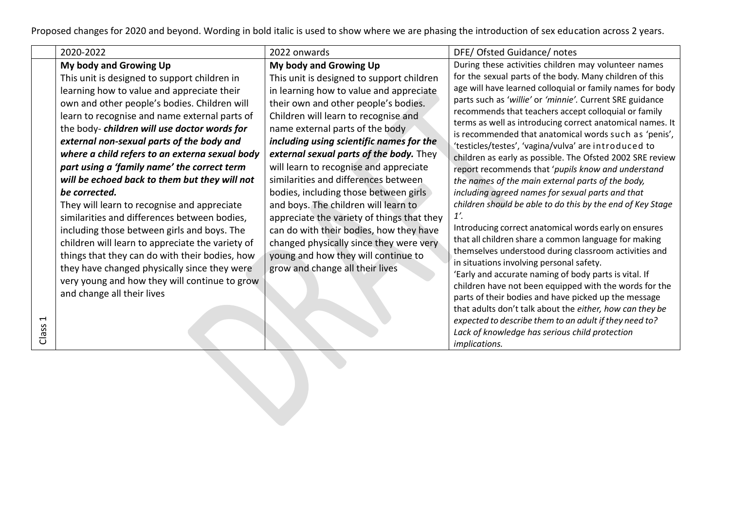Proposed changes for 2020 and beyond. Wording in bold italic is used to show where we are phasing the introduction of sex education across 2 years.

| 2020-2022                                                                                                                                                                                                                                                                                                                                                                                                                                                                                                                                                                                                                                                                                                                                                                                                                                     | 2022 onwards                                                                                                                                                                                                                                                                                                                                                                                                                                                                                                                                                                                                                                                                    | DFE/ Ofsted Guidance/ notes                                                                                                                                                                                                                                                                                                                                                                                                                                                                                                                                                                                                                                                                                                                                                                                                                                                                                                                                                                                                                                                                                              |
|-----------------------------------------------------------------------------------------------------------------------------------------------------------------------------------------------------------------------------------------------------------------------------------------------------------------------------------------------------------------------------------------------------------------------------------------------------------------------------------------------------------------------------------------------------------------------------------------------------------------------------------------------------------------------------------------------------------------------------------------------------------------------------------------------------------------------------------------------|---------------------------------------------------------------------------------------------------------------------------------------------------------------------------------------------------------------------------------------------------------------------------------------------------------------------------------------------------------------------------------------------------------------------------------------------------------------------------------------------------------------------------------------------------------------------------------------------------------------------------------------------------------------------------------|--------------------------------------------------------------------------------------------------------------------------------------------------------------------------------------------------------------------------------------------------------------------------------------------------------------------------------------------------------------------------------------------------------------------------------------------------------------------------------------------------------------------------------------------------------------------------------------------------------------------------------------------------------------------------------------------------------------------------------------------------------------------------------------------------------------------------------------------------------------------------------------------------------------------------------------------------------------------------------------------------------------------------------------------------------------------------------------------------------------------------|
| My body and Growing Up                                                                                                                                                                                                                                                                                                                                                                                                                                                                                                                                                                                                                                                                                                                                                                                                                        | My body and Growing Up                                                                                                                                                                                                                                                                                                                                                                                                                                                                                                                                                                                                                                                          | During these activities children may volunteer names                                                                                                                                                                                                                                                                                                                                                                                                                                                                                                                                                                                                                                                                                                                                                                                                                                                                                                                                                                                                                                                                     |
| This unit is designed to support children in<br>learning how to value and appreciate their<br>own and other people's bodies. Children will<br>learn to recognise and name external parts of<br>the body-children will use doctor words for<br>external non-sexual parts of the body and<br>where a child refers to an externa sexual body<br>part using a 'family name' the correct term<br>will be echoed back to them but they will not<br>be corrected.<br>They will learn to recognise and appreciate<br>similarities and differences between bodies,<br>including those between girls and boys. The<br>children will learn to appreciate the variety of<br>things that they can do with their bodies, how<br>they have changed physically since they were<br>very young and how they will continue to grow<br>and change all their lives | This unit is designed to support children<br>in learning how to value and appreciate<br>their own and other people's bodies.<br>Children will learn to recognise and<br>name external parts of the body<br>including using scientific names for the<br>external sexual parts of the body. They<br>will learn to recognise and appreciate<br>similarities and differences between<br>bodies, including those between girls<br>and boys. The children will learn to<br>appreciate the variety of things that they<br>can do with their bodies, how they have<br>changed physically since they were very<br>young and how they will continue to<br>grow and change all their lives | for the sexual parts of the body. Many children of this<br>age will have learned colloquial or family names for body<br>parts such as 'willie' or 'minnie'. Current SRE guidance<br>recommends that teachers accept colloquial or family<br>terms as well as introducing correct anatomical names. It<br>is recommended that anatomical words such as 'penis',<br>'testicles/testes', 'vagina/vulva' are introduced to<br>children as early as possible. The Ofsted 2002 SRE review<br>report recommends that 'pupils know and understand<br>the names of the main external parts of the body,<br>including agreed names for sexual parts and that<br>children should be able to do this by the end of Key Stage<br>1'.<br>Introducing correct anatomical words early on ensures<br>that all children share a common language for making<br>themselves understood during classroom activities and<br>in situations involving personal safety.<br>'Early and accurate naming of body parts is vital. If<br>children have not been equipped with the words for the<br>parts of their bodies and have picked up the message |